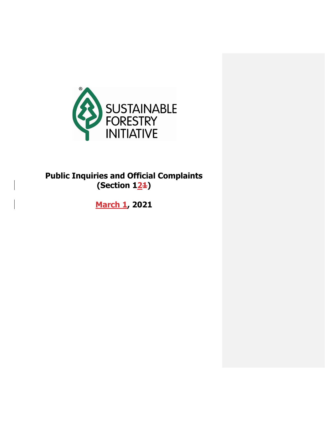

# **Public Inquiries and Official Complaints (Section 121)**

**March 1, 2021**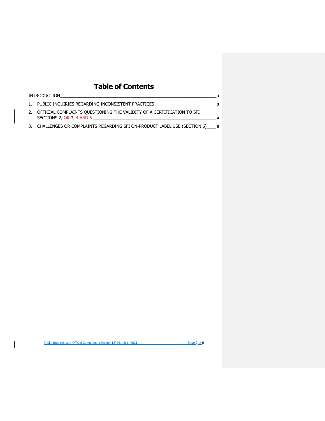## **Table of Contents**

| <b>INTRODUCTION</b>                                                                                            |   |
|----------------------------------------------------------------------------------------------------------------|---|
| 1. PUBLIC INQUIRIES REGARDING INCONSISTENT PRACTICES 3                                                         |   |
| 2. OFFICIAL COMPLAINTS QUESTIONING THE VALIDITY OF A CERTIFICATION TO SFI<br>SECTIONS 2, $\Theta$ R-3, 4 AND 5 | 4 |
| 3. CHALLENGES OR COMPLAINTS REGARDING SFI ON-PRODUCT LABEL USE (SECTION 6) 5                                   |   |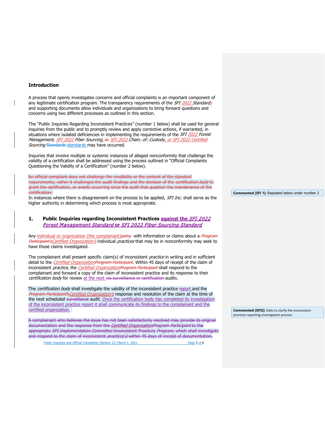#### <span id="page-2-0"></span>**Introduction**

A process that openly investigates concerns and official complaints is an important component of any legitimate certification program. The transparency requirements of the SFI 2022 Standards and supporting documents allow individuals and organizations to bring forward questions and concerns using two different processes as outlined in this section.

The "Public Inquiries Regarding Inconsistent Practices" (number 1 below) shall be used for general inquiries from the public and to promptly review and apply corrective actions, if warranted, in situations where isolated deficiencies in implementing the requirements of the SFI 2022 Forest Management, SFI 2022 Fiber Sourcing<sub>z</sub>-or SFI 2022 Chain-of-Custody, or SFI 2022 Certified Sourcing Standards standards may have occurred.

Inquiries that involve multiple or systemic instances of alleged nonconformity that challenge the validity of a certification shall be addressed using the process outlined in "Official Complaints Questioning the Validity of a Certification" (number 2 below).

An official complaint does not challenge the credibility or the content of the standard requirements; rather it challenges the audit findings and the decision of the *certification body* to grant the certification, or events occurring since the audit that question the maintenance of the certification.

In instances where there is disagreement on the process to be applied, *SFI Inc.* shall serve as the higher authority in determining which process is most appropriate.

## <span id="page-2-1"></span>**1. Public Inquiries regarding Inconsistent Practices against the** SFI 2022 Forest Management Standard **or** SFI 2022 Fiber Sourcing Standard

Any individual or organization (the complainant)party with information or claims about a Program Participant's Certified Organization's individual practices that may be in nonconformity may seek to have those claims investigated.

The complainant shall present specific claim(s) of inconsistent *practice* in writing and in sufficient detail to the *Certified OrganizationProgram Participant*. Within 45 days of receipt of the claim of inconsistent *practice*, the *Certified OrganizationProgram Participant* shall respond to the complainant and forward a copy of the claim of inconsistent practice and its response to their certification body for review at the next via surveillance or certification audits.

The certification body shall investigate the validity of the inconsistent practice report and the Program Participant's Certified Organization's response and resolution of the claim at the time of the next scheduled surveillance audit. Once the certification body has completed its investigation of the inconsistent practice report it shall communicate its findings to the complainant and the certified organization.

A complainant who believes the issue has not been satisfactorily resolved may provide its original documentation and the response from the Certified OrganizationProgram Participant to the appropriate SFI Implementation Committee Inconsistent Practices Program, which shall investigate and respond to the claim of inconsistent *practice(s)* within 45 days of receipt of documentation.

Public Inquiries and Official Complaints (Section 12) March 1, 2021 Page 3 of 6

**Commented [SFI 1]:** Repeated below under number 2

**Commented [SFI2]:** Edits to clarify the inconsistent practices reporting investigation process.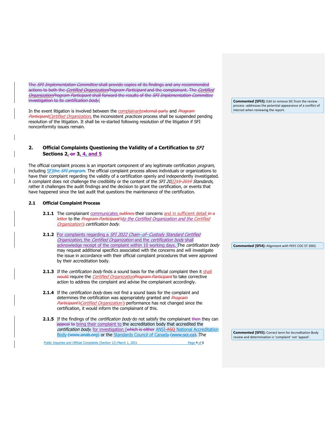The SFI Implementation Committee shall provide copies of its findings and any recommended actions to both the *Certified OrganizationProgram Participant* and the complainant. The *Certified* OrganizationProgram Participant shall forward the results of the SFI Implementation Committee investigation to its certification body.

In the event litigation is involved between the complainantexternal party and Program ParticipantCertified Organization, the inconsistent practices process shall be suspended pending resolution of the litigation. It shall be re-started following resolution of the litigation if SFI nonconformity issues remain.

## <span id="page-3-0"></span>**2. Official Complaints Questioning the Validity of a Certification to** SFI **Sections 2, or 3, 4, and 5**

The official complaint process is an important component of any legitimate certification *program*, including SFIthe SFI program. The official complaint process allows individuals or organizations to have their complaint regarding the validity of a certification openly and independently investigated. A complaint does not challenge the credibility or the content of the SFI 202215-2019 Standards, rather it challenges the audit findings and the decision to grant the certification, or events that have happened since the last audit that questions the maintenance of the certification.

#### **2.1 Official Complaint Process**

- **2.1.1** The complainant communicates outlines their concerns and in sufficient detail in a letter to the Program Participant'sto the Certified Organization and the Certified Organization's certification body.
- **2.1.2** For complaints regarding a SFI 2022 Chain-of-Custody Standard Certified Organization, the Certified Organization and the certification body shall acknowledge receipt of the complaint within 10 working days. The certification body may request additional specifics associated with the concerns and will investigate the issue in accordance with their official complaint procedures that were approved by their accreditation body.
- **2.1.3** If the *certification body* finds a sound basis for the official complaint then it shall would require the *Certified OrganizationProgram Participant* to take corrective action to address the complaint and advise the complainant accordingly.
- **2.1.4** If the *certification body* does not find a sound basis for the complaint and determines the certification was appropriately granted and Program Participant's Certified Organization's performance has not changed since the certification, it would inform the complainant of this.
- **2.1.5** If the findings of the *certification body* do not satisfy the complainant then they can appeal to bring their complaint to the accreditation body that accredited the certification body, for investigation (which is either ANSI-ASO National Accreditation [Body](http://www.anab.org/) (www.anab.org) or the [Standards Council of Canada](http://www.scc.ca/) (www.scc.ca). The

Public Inquiries and Official Complaints (Section 12) March 1, 2021 Page 4 of 6

**Commented [SFI3]:** Edit to remove SIC from the review process -addresses the potential appearance of a conflict of interest when reviewing the report.

**Commented [SFI4]:** Alignment with PEFC COC ST 2002.

**Commented [SFI5]:** Correct term for Accreditation Body review and determination is 'complaint' not 'appeal'.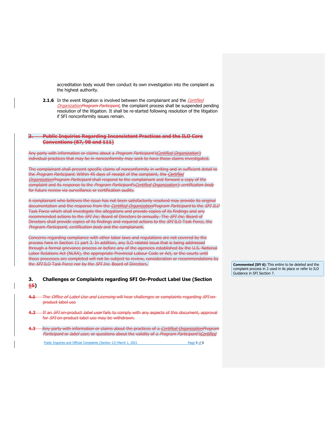accreditation body would then conduct its own investigation into the complaint as the highest authority.

**2.1.6** In the event litigation is involved between the complainant and the *Certified* OrganizationProgram Participant, the complaint process shall be suspended pending resolution of the litigation. It shall be re-started following resolution of the litigation if SFI nonconformity issues remain.

#### **3. Public Inquiries Regarding Inconsistent Practices and the ILO Core Conventions (87, 98 and 111)**

Any party with information or claims about a Program Participant'sCertified Organization's individual practices that may be in nonconformity may seek to have those claims investigated.

The complainant shall present specific claims of nonconformity in writing and in sufficient detail to the Program Participant. Within 45 days of receipt of the complaint, the Certified OrganizationProgram Participant shall respond to the complainant and forward a copy of the complaint and its response to the Program Participant's Certified Organization's certification body for future review via surveillance or certification audits.

A complainant who believes the issue has not been satisfactorily resolved may provide its original documentation and the response from the *Certified OrganizationProgram Participant* to the *SFI ILO* Task Force which shall investigate the allegations and provide copies of its findings and any recommended actions to the *SFI Inc.* Board of Directors bi-annually. The *SFI Inc.* Board of Directors shall provide copies of its findings and required actions to the SFI ILO Task Force, the Program Participant, certification body and the complainant.

Concerns regarding compliance with other labor laws and regulations are not covered by the process here in Section 11 part 3. In addition, any ILO related issue that is being addressed through a formal grievance process or before any of the agencies established by the U.S. National Labor Relations Act (NLRA), the appropriate Provincial Labour Code or Act, or the courts until those processes are completed will not be subject to review, consideration or recommendations by the SFI ILO Task Force nor by the SFI Inc. Board of Directors.

### <span id="page-4-0"></span>**3. Challenges or Complaints regarding SFI On-Product Label Use (Section 65)**

- **4.1** The Office of Label Use and Licensing will hear challenges or complaints regarding SFI onproduct label use
- **4.2** If an SFI on-product label user fails to comply with any aspects of this document, approval for SFI on-product label use may be withdrawn.
- **4.3** Any party with information or claims about the practices of a Certified OrganizationProgram Participant or label user, or questions about the validity of a Program Participant's Certified

Public Inquiries and Official Complaints (Section 12) March 1, 2021 Page 5 of 6

**Commented [SFI 6]:** This entire to be deleted and the complaint process in 2 used in its place or refer to ILO Guidance in SFI Section 7.